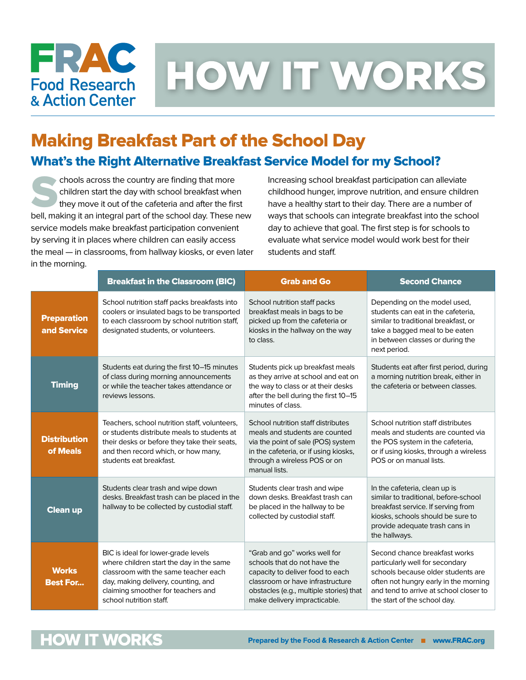

HOW IT WORKS

## Making Breakfast Part of the School Day

### What's the Right Alternative Breakfast Service Model for my School?

 $\triangleright$  chools across the country are finding that more children start the day with school breakfast when they move it out of the cafeteria and after the first bell, making it an integral part of the school day. These new service models make breakfast participation convenient by serving it in places where children can easily access the meal — in classrooms, from hallway kiosks, or even later in the morning.

Increasing school breakfast participation can alleviate childhood hunger, improve nutrition, and ensure children have a healthy start to their day. There are a number of ways that schools can integrate breakfast into the school day to achieve that goal. The first step is for schools to evaluate what service model would work best for their students and staff.

|                                   | <b>Breakfast in the Classroom (BIC)</b>                                                                                                                                                                                         | <b>Grab and Go</b>                                                                                                                                                                                              | <b>Second Chance</b>                                                                                                                                                                                                      |
|-----------------------------------|---------------------------------------------------------------------------------------------------------------------------------------------------------------------------------------------------------------------------------|-----------------------------------------------------------------------------------------------------------------------------------------------------------------------------------------------------------------|---------------------------------------------------------------------------------------------------------------------------------------------------------------------------------------------------------------------------|
| <b>Preparation</b><br>and Service | School nutrition staff packs breakfasts into<br>coolers or insulated bags to be transported<br>to each classroom by school nutrition staff,<br>designated students, or volunteers.                                              | School nutrition staff packs<br>breakfast meals in bags to be<br>picked up from the cafeteria or<br>kiosks in the hallway on the way<br>to class.                                                               | Depending on the model used,<br>students can eat in the cafeteria,<br>similar to traditional breakfast, or<br>take a bagged meal to be eaten<br>in between classes or during the<br>next period.                          |
| <b>Timing</b>                     | Students eat during the first 10-15 minutes<br>of class during morning announcements<br>or while the teacher takes attendance or<br>reviews lessons.                                                                            | Students pick up breakfast meals<br>as they arrive at school and eat on<br>the way to class or at their desks<br>after the bell during the first 10-15<br>minutes of class.                                     | Students eat after first period, during<br>a morning nutrition break, either in<br>the cafeteria or between classes.                                                                                                      |
| <b>Distribution</b><br>of Meals   | Teachers, school nutrition staff, volunteers,<br>or students distribute meals to students at<br>their desks or before they take their seats,<br>and then record which, or how many,<br>students eat breakfast.                  | School nutrition staff distributes<br>meals and students are counted<br>via the point of sale (POS) system<br>in the cafeteria, or if using kiosks,<br>through a wireless POS or on<br>manual lists.            | School nutrition staff distributes<br>meals and students are counted via<br>the POS system in the cafeteria,<br>or if using kiosks, through a wireless<br>POS or on manual lists.                                         |
| <b>Clean up</b>                   | Students clear trash and wipe down<br>desks. Breakfast trash can be placed in the<br>hallway to be collected by custodial staff.                                                                                                | Students clear trash and wipe<br>down desks. Breakfast trash can<br>be placed in the hallway to be<br>collected by custodial staff.                                                                             | In the cafeteria, clean up is<br>similar to traditional, before-school<br>breakfast service. If serving from<br>kiosks, schools should be sure to<br>provide adequate trash cans in<br>the hallways.                      |
| <b>Works</b><br><b>Best For</b>   | BIC is ideal for lower-grade levels<br>where children start the day in the same<br>classroom with the same teacher each<br>day, making delivery, counting, and<br>claiming smoother for teachers and<br>school nutrition staff. | "Grab and go" works well for<br>schools that do not have the<br>capacity to deliver food to each<br>classroom or have infrastructure<br>obstacles (e.g., multiple stories) that<br>make delivery impracticable. | Second chance breakfast works<br>particularly well for secondary<br>schools because older students are<br>often not hungry early in the morning<br>and tend to arrive at school closer to<br>the start of the school day. |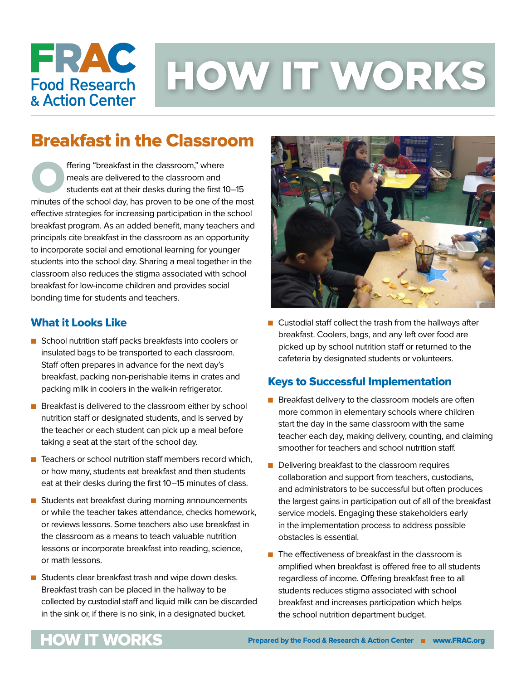

# HOW IT WORKS

## Breakfast in the Classroom

**Offering "breakfast in the classroom," where**<br>meals are delivered to the classroom and<br>students eat at their desks during the first 1 meals are delivered to the classroom and students eat at their desks during the first 10–15 minutes of the school day, has proven to be one of the most effective strategies for increasing participation in the school breakfast program. As an added benefit, many teachers and principals cite breakfast in the classroom as an opportunity to incorporate social and emotional learning for younger students into the school day. Sharing a meal together in the classroom also reduces the stigma associated with school breakfast for low-income children and provides social bonding time for students and teachers.

#### What it Looks Like

- School nutrition staff packs breakfasts into coolers or insulated bags to be transported to each classroom. Staff often prepares in advance for the next day's breakfast, packing non-perishable items in crates and packing milk in coolers in the walk-in refrigerator.
- **n** Breakfast is delivered to the classroom either by school nutrition staff or designated students, and is served by the teacher or each student can pick up a meal before taking a seat at the start of the school day.
- $\blacksquare$  Teachers or school nutrition staff members record which, or how many, students eat breakfast and then students eat at their desks during the first 10–15 minutes of class.
- Students eat breakfast during morning announcements or while the teacher takes attendance, checks homework, or reviews lessons. Some teachers also use breakfast in the classroom as a means to teach valuable nutrition lessons or incorporate breakfast into reading, science, or math lessons.
- $\blacksquare$  Students clear breakfast trash and wipe down desks. Breakfast trash can be placed in the hallway to be collected by custodial staff and liquid milk can be discarded in the sink or, if there is no sink, in a designated bucket.



 $\blacksquare$  Custodial staff collect the trash from the hallways after breakfast. Coolers, bags, and any left over food are picked up by school nutrition staff or returned to the cafeteria by designated students or volunteers.

#### Keys to Successful Implementation

- $\blacksquare$  Breakfast delivery to the classroom models are often more common in elementary schools where children start the day in the same classroom with the same teacher each day, making delivery, counting, and claiming smoother for teachers and school nutrition staff.
- $\blacksquare$  Delivering breakfast to the classroom requires collaboration and support from teachers, custodians, and administrators to be successful but often produces the largest gains in participation out of all of the breakfast service models. Engaging these stakeholders early in the implementation process to address possible obstacles is essential.
- $\blacksquare$  The effectiveness of breakfast in the classroom is amplified when breakfast is offered free to all students regardless of income. Offering breakfast free to all students reduces stigma associated with school breakfast and increases participation which helps the school nutrition department budget.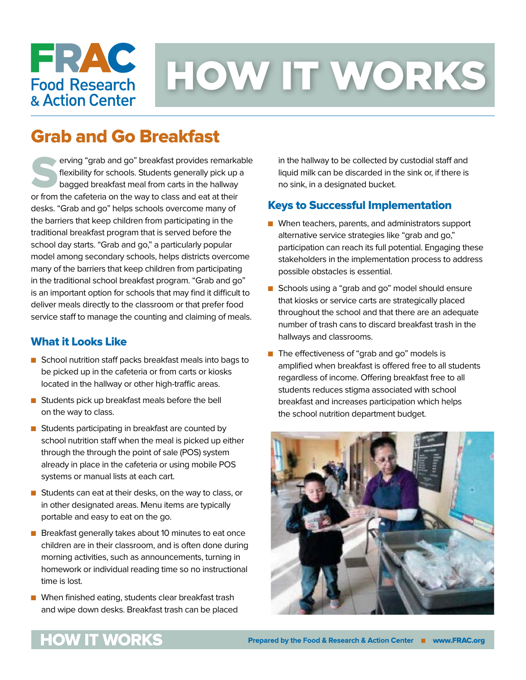# FRAC **Food Research** & Action Center

# HOW IT WORKS

## Grab and Go Breakfast

serving "grab and go" breakfast provides remarkable flexibility for schools. Students generally pick up a bagged breakfast meal from carts in the hallway or from the cafeteria on the way to class and eat at their desks. "Grab and go" helps schools overcome many of the barriers that keep children from participating in the traditional breakfast program that is served before the school day starts. "Grab and go," a particularly popular model among secondary schools, helps districts overcome many of the barriers that keep children from participating in the traditional school breakfast program. "Grab and go" is an important option for schools that may find it difficult to deliver meals directly to the classroom or that prefer food service staff to manage the counting and claiming of meals.

#### What it Looks Like

- School nutrition staff packs breakfast meals into bags to be picked up in the cafeteria or from carts or kiosks located in the hallway or other high-traffic areas.
- **n** Students pick up breakfast meals before the bell on the way to class.
- $\blacksquare$  Students participating in breakfast are counted by school nutrition staff when the meal is picked up either through the through the point of sale (POS) system already in place in the cafeteria or using mobile POS systems or manual lists at each cart.
- Students can eat at their desks, on the way to class, or in other designated areas. Menu items are typically portable and easy to eat on the go.
- Breakfast generally takes about 10 minutes to eat once children are in their classroom, and is often done during morning activities, such as announcements, turning in homework or individual reading time so no instructional time is lost.
- $\blacksquare$  When finished eating, students clear breakfast trash and wipe down desks. Breakfast trash can be placed

in the hallway to be collected by custodial staff and liquid milk can be discarded in the sink or, if there is no sink, in a designated bucket.

#### Keys to Successful Implementation

- $\blacksquare$  When teachers, parents, and administrators support alternative service strategies like "grab and go," participation can reach its full potential. Engaging these stakeholders in the implementation process to address possible obstacles is essential.
- Schools using a "grab and go" model should ensure that kiosks or service carts are strategically placed throughout the school and that there are an adequate number of trash cans to discard breakfast trash in the hallways and classrooms.
- The effectiveness of "grab and go" models is amplified when breakfast is offered free to all students regardless of income. Offering breakfast free to all students reduces stigma associated with school breakfast and increases participation which helps the school nutrition department budget.